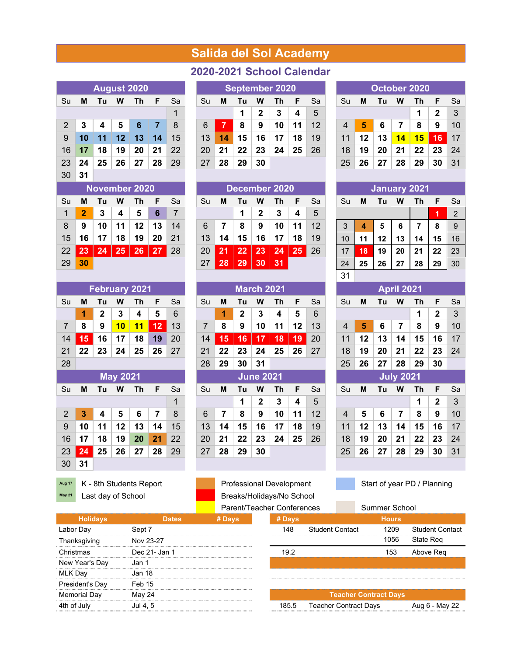## **Salida del Sol Academy**

| <b>August 2020</b> |    |    |    |    |    |    |  |  |  |  |  |  |  |
|--------------------|----|----|----|----|----|----|--|--|--|--|--|--|--|
| Su                 | м  | Tu | W  | Τh | F  | Sa |  |  |  |  |  |  |  |
|                    |    |    |    |    |    | 1  |  |  |  |  |  |  |  |
| $\overline{2}$     | 3  | 4  | 5  | 6  | 7  | 8  |  |  |  |  |  |  |  |
| 9                  | 10 | 11 | 12 | 13 | 14 | 15 |  |  |  |  |  |  |  |
| 16                 | 17 | 18 | 19 | 20 | 21 | 22 |  |  |  |  |  |  |  |
| 23                 | 24 | 25 | 26 | 27 | 28 | 29 |  |  |  |  |  |  |  |
| 30                 | 31 |    |    |    |    |    |  |  |  |  |  |  |  |

| <b>November 2020</b> |              |                        |              |                    |     |           |  |  |  |  |  |  |
|----------------------|--------------|------------------------|--------------|--------------------|-----|-----------|--|--|--|--|--|--|
| Su                   | м            | F                      | Sa           |                    |     |           |  |  |  |  |  |  |
| 1                    | $\mathbf{2}$ | 3                      | 4            | - 5                | 6   |           |  |  |  |  |  |  |
| 8                    | 9            | 10                     | 11           | $\vert$ 12 $\vert$ | 13  | -14       |  |  |  |  |  |  |
| 15 <sup>1</sup>      | 16           |                        | $17 \mid 18$ | ∣ 19∣              | -20 | $\mid$ 21 |  |  |  |  |  |  |
|                      | $22 \mid 23$ | 24   25   26   27   28 |              |                    |     |           |  |  |  |  |  |  |
| 29                   | 30           |                        |              |                    |     |           |  |  |  |  |  |  |

|                |    |    |                 | <b>February 2021</b> |    |    |
|----------------|----|----|-----------------|----------------------|----|----|
| Su             | М  | Sa |                 |                      |    |    |
|                | 1  | 2  | 3               | 4                    | 5  | 6  |
| 7              | 8  | 9  | 10              | 11                   | 12 | 13 |
| 14             | 15 | 16 | 17              | 18                   | 19 | 20 |
| 21             | 22 | 23 | 24              | 25                   | 26 | 27 |
| 28             |    |    |                 |                      |    |    |
|                |    |    | <b>May 2021</b> |                      |    |    |
| Su             | М  | Tu | W               | Th                   | F  | Sa |
|                |    |    |                 |                      |    | 1  |
| $\overline{2}$ | 3  | 4  | 5               | 6                    | 7  | 8  |
| 9              | 10 | 11 | 12              | 13                   | 14 | 15 |
| 16             | 17 | 18 | 19              | 20                   | 21 | 22 |
| 23             | 24 | 25 | 26              | 27                   | 28 | 29 |
|                |    |    |                 |                      |    |    |

**Aug 17** K - 8th Students Report Professional Development Start of year PD / Planning

## **2020-2021 School Calendar**

|                |    |    |    | <b>August 2020</b> |    |    | <b>September 2020</b> |    |    |    |    |    |    |  | October 2020 |    |    |    |    |    |    |  |
|----------------|----|----|----|--------------------|----|----|-----------------------|----|----|----|----|----|----|--|--------------|----|----|----|----|----|----|--|
| Su             | М  | тп | W  | Th                 | F. | Sa | Su                    | м  | Тu | w  | Τh |    | Sa |  | Su           | M  | Tu | w  |    |    | Sa |  |
|                |    |    |    |                    |    |    |                       |    |    | 2  | 3  | 4  | 5  |  |              |    |    |    |    | 2  |    |  |
| $\overline{2}$ | 3  | 4  | 5  |                    |    | 8  | 6                     |    | 8  | 9  | 10 | 11 | 12 |  | 4            | 5  | 6  |    | 8  | 9  | 10 |  |
| 9              | 10 |    |    | 13                 | 14 | 15 | 13                    | 14 | 15 | 16 | 17 | 18 | 19 |  | 11           | 12 | 13 | 14 | 15 | 16 | 17 |  |
| 16             | 17 | 18 | 19 | 20                 | 21 | 22 | 20                    | 21 | 22 | 23 | 24 | 25 | 26 |  | 18           | 19 | 20 | 21 | 22 | 23 | 24 |  |
| 23             | 24 | 25 | 26 | 27                 | 28 | 29 | 27                    | 28 | 29 | 30 |    |    |    |  | 25           | 26 | 27 | 28 | 29 | 30 | 31 |  |

|      |                | November 2020 |    |    |    |    | December 2020 |    |    |    |    |    |    |  |    | January 2021 |    |    |    |    |               |  |  |
|------|----------------|---------------|----|----|----|----|---------------|----|----|----|----|----|----|--|----|--------------|----|----|----|----|---------------|--|--|
| Su   | М              | Γu            | W  | Τh | F  | Sa | Su            | M  | Τu | w  | Τh |    | Sa |  | Su | M            | Tн | w  | Th | F  | Sa            |  |  |
|      | $\overline{2}$ | 3             |    | 5  | 6  |    |               |    |    | 2  | 3  | 4  | 5  |  |    |              |    |    |    | и  | $\mathcal{P}$ |  |  |
| 8    | 9              | 10            |    | 12 | 13 | 14 | 6             |    | 8  | 9  | 10 | 11 | 12 |  | ◠  | 4            | 5  | 6  |    | 8  | 9             |  |  |
| 15   | 16             |               | 18 | 19 | 20 | 21 | 13            | 14 | 15 | 16 | 17 | 18 | 19 |  | 10 | 11           | 12 | 13 | 14 | 15 | 16            |  |  |
| 22 I | 23             | 24            | 25 | 26 | 27 | 28 | 20            | 21 | 22 | 23 | 24 | 25 | 26 |  |    | 18           | 19 | 20 | 21 | 22 | 23            |  |  |
| 29   | 30             |               |    |    |    |    | 27            | 28 | 29 | 30 | 31 |    |    |  | 24 | 25           | 26 | 27 | 28 | 29 | 30            |  |  |

| M  | Τu | W  | Th | F               | Sa                   | Su                                   | М  | Tu | W  | Th | F                 | Sa |  |    | M                                                | Tu | w  | Τh | F          |                                            |
|----|----|----|----|-----------------|----------------------|--------------------------------------|----|----|----|----|-------------------|----|--|----|--------------------------------------------------|----|----|----|------------|--------------------------------------------|
| 1  | 2  | 3  | 4  | 5               | 6                    |                                      | 1  | 2  | 3  | 4  | 5                 | 6  |  |    |                                                  |    |    | 1  | 2          |                                            |
| 8  | 9  | 10 | 11 | 12              | 13                   | 7                                    | 8  | 9  | 10 | 11 | 12                | 13 |  |    | 5                                                | 6  | 7  | 8  | 9          |                                            |
| 15 | 16 | 17 | 18 | 19              | 20                   | 14                                   | 15 | 16 | 17 | 18 | 19                | 20 |  |    | 12                                               | 13 | 14 | 15 |            |                                            |
| 22 | 23 | 24 | 25 | 26              | 27                   | 21                                   | 22 | 23 | 24 | 25 | 26                | 27 |  |    | 19                                               | 20 | 21 | 22 |            |                                            |
|    |    |    |    |                 |                      | 28                                   | 29 | 30 | 31 |    |                   |    |  |    | 26                                               | 27 | 28 | 29 |            |                                            |
|    |    |    |    |                 |                      | <b>June 2021</b><br><b>July 2021</b> |    |    |    |    |                   |    |  |    |                                                  |    |    |    |            |                                            |
| м  | Τu | W  | Τh | F               | Sa                   | Su                                   | M  | Tu | w  | Th | F                 | Sa |  |    | M                                                | Tu | w  | Th | F          |                                            |
|    |    |    |    |                 | 1                    |                                      |    | 1  | 2  | 3  | 4                 | 5  |  |    |                                                  |    |    | 1  |            |                                            |
| 3  | 4  | 5  | 6  | 7               | 8                    | 6                                    | 7  | 8  | 9  | 10 | 11                | 12 |  |    | 5                                                | 6  | 7  | 8  | 9          |                                            |
| 10 | 11 | 12 | 13 | 14              | 15                   | 13                                   | 14 | 15 | 16 | 17 | 18                | 19 |  |    | 12                                               | 13 | 14 | 15 |            |                                            |
| 17 | 18 | 19 | 20 | 21              | 22                   | 20                                   | 21 | 22 | 23 | 24 | 25                | 26 |  |    | 19                                               | 20 | 21 | 22 |            |                                            |
| 24 | 25 | 26 | 27 | 28              | 29                   | 27                                   | 28 | 29 | 30 |    |                   |    |  | 25 | 26                                               | 27 | 28 | 29 | 30         |                                            |
|    |    |    |    | <b>May 2021</b> | <b>February 2021</b> |                                      |    |    |    |    | <b>March 2021</b> |    |  |    | Su<br>4<br>11<br>18<br>25<br>Su<br>4<br>11<br>18 |    |    |    | April 2021 | 16<br>23<br>30<br>$\mathbf{2}$<br>16<br>23 |

**May 21** Last day of School Breaks/Holidays/No School

**August 2020 September 2020 October 2020**

|    |    | November 2020 |    |    |    |    |    | December 2020 |    |    |                 |    |    |  |    |    | <b>January 2021</b> |    |    |    |    |  |  |  |
|----|----|---------------|----|----|----|----|----|---------------|----|----|-----------------|----|----|--|----|----|---------------------|----|----|----|----|--|--|--|
| Su | М  | Τu            | w  | Τh | F  | Sa | Su | м             | Tu | w  | Τh              | ►  | Sa |  | Su | м  | Τu                  | W  | Τh | F  | Sa |  |  |  |
| 1  | 2  | 3             | 4  | 5  | 6  |    |    |               |    | 2  | 3               | 4  | 5  |  |    |    |                     |    |    |    | າ  |  |  |  |
| 8  | 9  | 10            | 11 | 12 | 13 | 14 | 6  |               | 8  | 9  | 10              | 11 | 12 |  | 3  | 4  | 5                   | 6  |    | 8  | 9  |  |  |  |
| 15 | 16 | 17            | 18 | 19 | 20 | 21 | 13 | 14            | 15 | 16 | 17              | 18 | 19 |  | 10 | 11 | $12 \,$             | 13 | 14 | 15 | 16 |  |  |  |
| 22 | 23 | 24            | 25 | 26 | 27 | 28 | 20 | 21            | 22 | 23 | $\overline{24}$ | 25 | 26 |  | 17 | 18 | 19                  | 20 | 21 | 22 | 23 |  |  |  |
| 29 | 30 |               |    |    |    |    | 27 | 28            | 29 | 30 | 31              |    |    |  | 24 | 25 | 26                  | 27 | 28 | 29 | 30 |  |  |  |
|    |    |               |    |    |    |    |    |               |    |    |                 |    |    |  | 31 |    |                     |    |    |    |    |  |  |  |
|    |    |               |    |    |    |    |    |               |    |    |                 |    |    |  |    |    |                     |    |    |    |    |  |  |  |

| <b>April 2021</b>      |    |    |                  |    |              |    |  |  |  |  |  |  |  |
|------------------------|----|----|------------------|----|--------------|----|--|--|--|--|--|--|--|
| Su                     | Μ  | Tu | W                | Th | F            | Sa |  |  |  |  |  |  |  |
| $\mathbf{2}$<br>3<br>1 |    |    |                  |    |              |    |  |  |  |  |  |  |  |
| 4                      | 5  | 6  | 7                | 8  | 9            | 10 |  |  |  |  |  |  |  |
| 11                     | 12 | 13 | 14               | 15 | 16           | 17 |  |  |  |  |  |  |  |
| 18                     | 19 | 20 | 21               | 22 | 23           | 24 |  |  |  |  |  |  |  |
| 25                     | 26 | 27 | 28               | 29 | 30           |    |  |  |  |  |  |  |  |
|                        |    |    |                  |    |              |    |  |  |  |  |  |  |  |
|                        |    |    | <b>July 2021</b> |    |              |    |  |  |  |  |  |  |  |
| Su                     | М  | Tu | w                | Th | F            | Sa |  |  |  |  |  |  |  |
|                        |    |    |                  | 1  | $\mathbf{2}$ | 3  |  |  |  |  |  |  |  |
| 4                      | 5  | 6  | 7                | 8  | 9            | 10 |  |  |  |  |  |  |  |
| 11                     | 12 | 13 | 14               | 15 | 16           | 17 |  |  |  |  |  |  |  |
| 18                     | 19 | 20 | 21               | 22 | 23           | 24 |  |  |  |  |  |  |  |

|                     |               |        | Parent/Teacher Conferences |                              | Summer School                |                        |
|---------------------|---------------|--------|----------------------------|------------------------------|------------------------------|------------------------|
| <b>Holidays</b>     | Dates         | # Days | # Days                     |                              | <b>Hours</b>                 |                        |
| Labor Day           | Sept 7        |        | 148                        | <b>Student Contact</b>       | 1209                         | <b>Student Contact</b> |
| Thanksgiving        | Nov 23-27     |        |                            |                              | 1056                         | State Reg              |
| Christmas           | Dec 21- Jan 1 |        | 19.2                       |                              | 153                          | Above Reg              |
| New Year's Day      | Jan 1         |        |                            |                              |                              |                        |
| MLK Dav             | Jan 18        |        |                            |                              |                              |                        |
| President's Day     | Feb 15        |        |                            |                              |                              |                        |
| <b>Memorial Day</b> | May 24        |        |                            |                              | <b>Teacher Contract Days</b> |                        |
| 4th of July         | Jul 4. 5      |        | 185.5                      | <b>Teacher Contract Days</b> |                              | Aug 6 - May 22         |